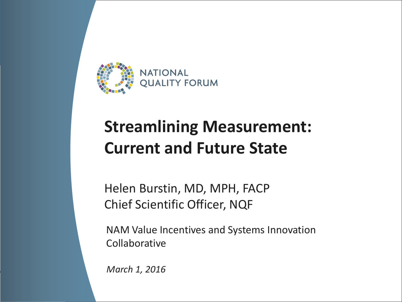

## **Streamlining Measurement: Current and Future State**

Helen Burstin, MD, MPH, FACP Chief Scientific Officer, NQF

NAM Value Incentives and Systems Innovation Collaborative

*March 1, 2016*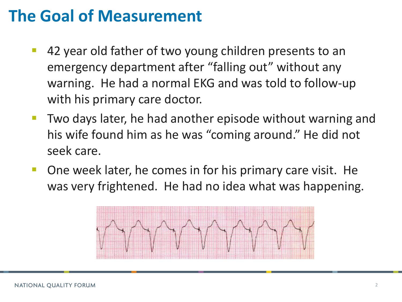## **The Goal of Measurement**

- 42 year old father of two young children presents to an emergency department after "falling out" without any warning. He had a normal EKG and was told to follow-up with his primary care doctor.
- Two days later, he had another episode without warning and his wife found him as he was "coming around." He did not seek care.
- One week later, he comes in for his primary care visit. He was very frightened. He had no idea what was happening.

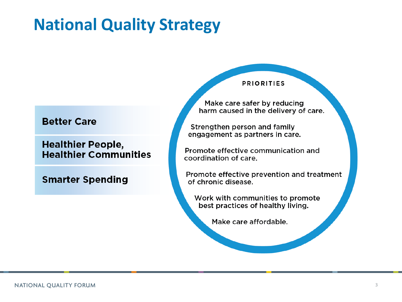## **National Quality Strategy**

#### **Better Care**

**Healthier People, Healthier Communities** 

**Smarter Spending** 

#### **PRIORITIES**

Make care safer by reducing harm caused in the delivery of care.

Strengthen person and family engagement as partners in care.

Promote effective communication and coordination of care.

Promote effective prevention and treatment of chronic disease.

Work with communities to promote best practices of healthy living.

Make care affordable.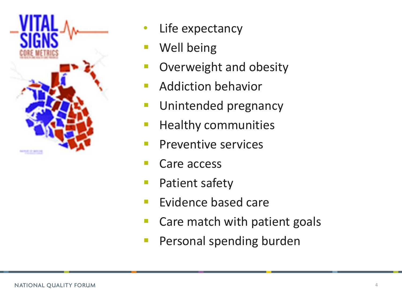

- Life expectancy
- Well being
- Overweight and obesity
- Addiction behavior
- Unintended pregnancy
- Healthy communities
- Preventive services
- Care access
- Patient safety
- **Evidence based care**
- Care match with patient goals
- Personal spending burden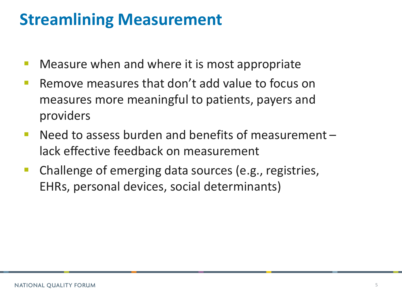## **Streamlining Measurement**

- **Neasure when and where it is most appropriate**
- **E** Remove measures that don't add value to focus on measures more meaningful to patients, payers and providers
- Need to assess burden and benefits of measurement lack effective feedback on measurement
- **Challenge of emerging data sources (e.g., registries,** EHRs, personal devices, social determinants)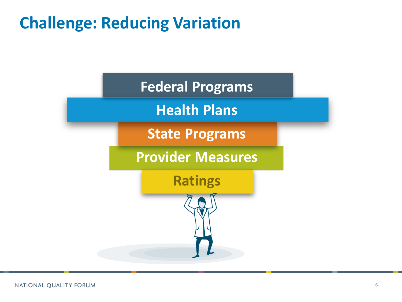## **Challenge: Reducing Variation**

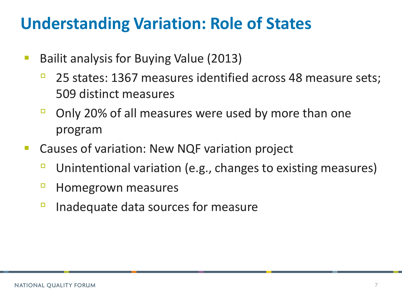### **Understanding Variation: Role of States**

- Bailit analysis for Buying Value (2013)
	- 25 states: 1367 measures identified across 48 measure sets; 509 distinct measures
	- □ Only 20% of all measures were used by more than one program
- Causes of variation: New NQF variation project
	- Unintentional variation (e.g., changes to existing measures)
	- □ Homegrown measures
	- Inadequate data sources for measure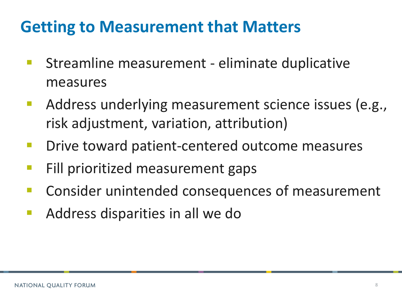## **Getting to Measurement that Matters**

- Streamline measurement eliminate duplicative measures
- Address underlying measurement science issues (e.g., risk adjustment, variation, attribution)
- Drive toward patient-centered outcome measures
- Fill prioritized measurement gaps
- Consider unintended consequences of measurement
- Address disparities in all we do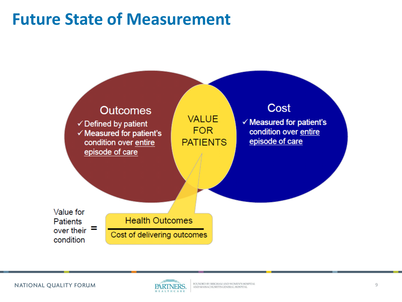## **Future State of Measurement**



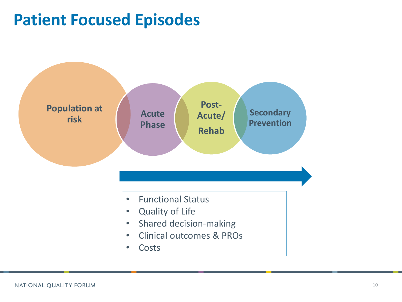### **Patient Focused Episodes**

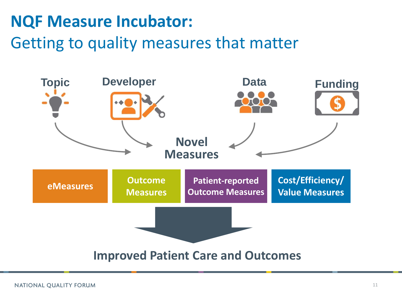#### **NQF Measure Incubator:**

#### Getting to quality measures that matter

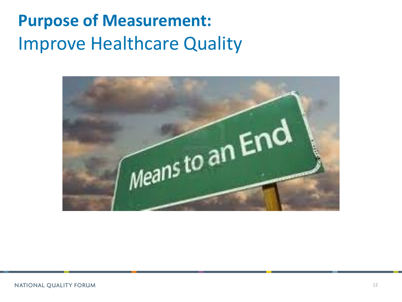# **Purpose of Measurement:**  Improve Healthcare Quality

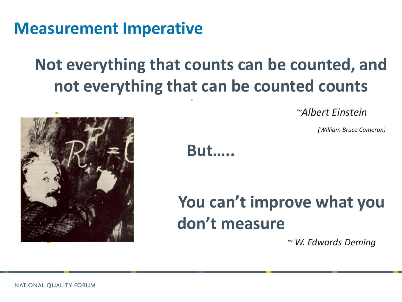**Measurement Imperative** 

## **Not everything that counts can be counted, and not everything that can be counted counts**

F

*~Albert Einstein*



**But…..**

## **You can't improve what you don't measure**

*~ W. Edwards Deming*